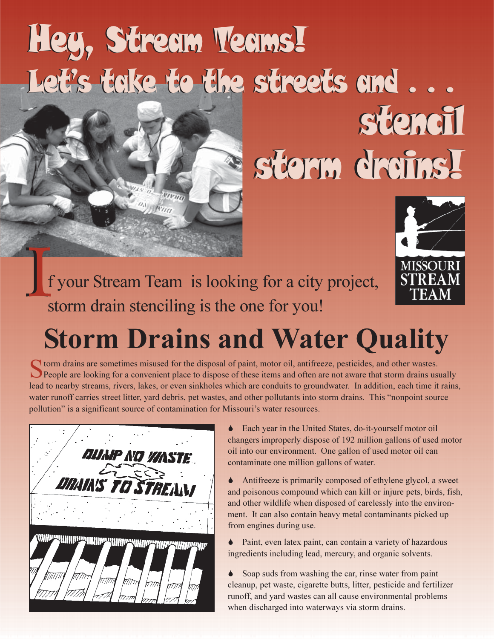# Hey, Stream Teams! Let's take to the streets and ...

# storeil storm dreins!



f your Stream Team is looking for a city project, storm drain stenciling is the one for you!

### **Storm Drains and Water Quality**

**O** torm drains are sometimes misused for the disposal of paint, motor oil, antifreeze, pesticides, and other wastes. People are looking for a convenient place to dispose of these items and often are not aware that storm drains usually lead to nearby streams, rivers, lakes, or even sinkholes which are conduits to groundwater. In addition, each time it rains, water runoff carries street litter, yard debris, pet wastes, and other pollutants into storm drains. This "nonpoint source pollution" is a significant source of contamination for Missouri's water resources.

| <b>DUAIP NO VANSTE.</b>  |               |
|--------------------------|---------------|
| <b>DRAIN'S TO STREAM</b> | $\leq$ $\geq$ |
|                          |               |
|                          |               |

• Each year in the United States, do-it-yourself motor oil changers improperly dispose of 192 million gallons of used motor oil into our environment. One gallon of used motor oil can contaminate one million gallons of water.

 $\bullet$ Antifreeze is primarily composed of ethylene glycol, a sweet and poisonous compound which can kill or injure pets, birds, fish, and other wildlife when disposed of carelessly into the environment. It can also contain heavy metal contaminants picked up from engines during use.

• Paint, even latex paint, can contain a variety of hazardous ingredients including lead, mercury, and organic solvents.

 $\bullet$ Soap suds from washing the car, rinse water from paint cleanup, pet waste, cigarette butts, litter, pesticide and fertilizer runoff, and yard wastes can all cause environmental problems when discharged into waterways via storm drains.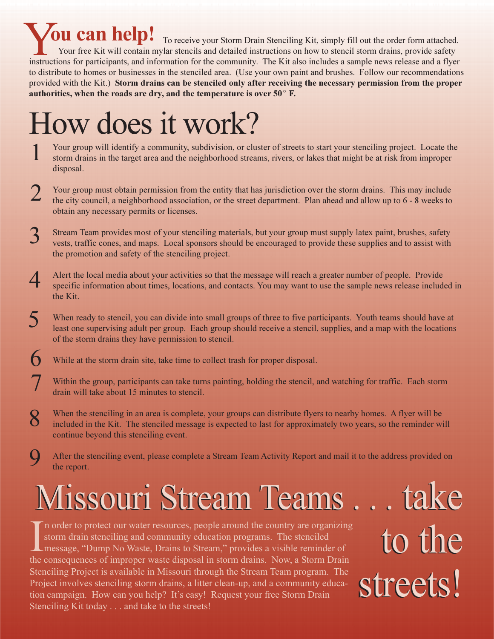**Ou can help!** To receive your Storm Drain Stenciling Kit, simply fill out the order form attached. Your free Kit will contain mylar stencils and detailed instructions on how to stencil storm drains, provide safety instructions for participants, and information for the community. The Kit also includes a sample news release and a flyer to distribute to homes or businesses in the stenciled area. (Use your own paint and brushes. Follow our recommendations provided with the Kit.) Storm drains can be stenciled only after receiving the necessary permission from the proper authorities, when the roads are dry, and the temperature is over  $50^{\circ}$  F.

## How does it work?

- Your group will identify a community, subdivision, or cluster of streets to start your stenciling project. Locate the storm drains in the target area and the neighborhood streams, rivers, or lakes that might be at risk from improper disposal.
- 2 Your group must obtain permission from the entity that has jurisdiction over the storm drains. This may include the city council, a neighborhood association, or the street department. Plan ahead and allow up to 6 - 8 weeks to obtain any necessary permits or licenses.
- 3 Stream Team provides most of your stenciling materials, but your group must supply latex paint, brushes, safety vests, traffic cones, and maps. Local sponsors should be encouraged to provide these supplies and to assist with the promotion and safety of the stenciling project.
- Alert the local media about your activities so that the message will reach a greater number of people. Provide 4 specific information about times, locations, and contacts. You may want to use the sample news release included in the Kit.
- $\overline{\mathsf{S}}$ When ready to stencil, you can divide into small groups of three to five participants. Youth teams should have at least one supervising adult per group. Each group should receive a stencil, supplies, and a map with the locations of the storm drains they have permission to stencil.
- 6 While at the storm drain site, take time to collect trash for proper disposal.
- Within the group, participants can take turns painting, holding the stencil, and watching for traffic. Each storm drain will take about 15 minutes to stencil.
- When the stenciling in an area is complete, your groups can distribute flyers to nearby homes. A flyer will be included in the Kit. The stenciled message is expected to last for approximately two years, so the reminder will continue beyond this stenciling event.
- $\mathbf Q$ After the stenciling event, please complete a Stream Team Activity Report and mail it to the address provided on the report.

# lissouri Stream Teams.

n order to protect our water resources, people around the country are organizing storm drain stenciling and community education programs. The stenciled Imessage, "Dump No Waste, Drains to Stream," provides a visible reminder of the consequences of improper waste disposal in storm drains. Now, a Storm Drain Stenciling Project is available in Missouri through the Stream Team program. The Project involves stenciling storm drains, a litter clean-up, and a community education campaign. How can you help? It's easy! Request your free Storm Drain Stenciling Kit today . . . and take to the streets!

. take to the streets!